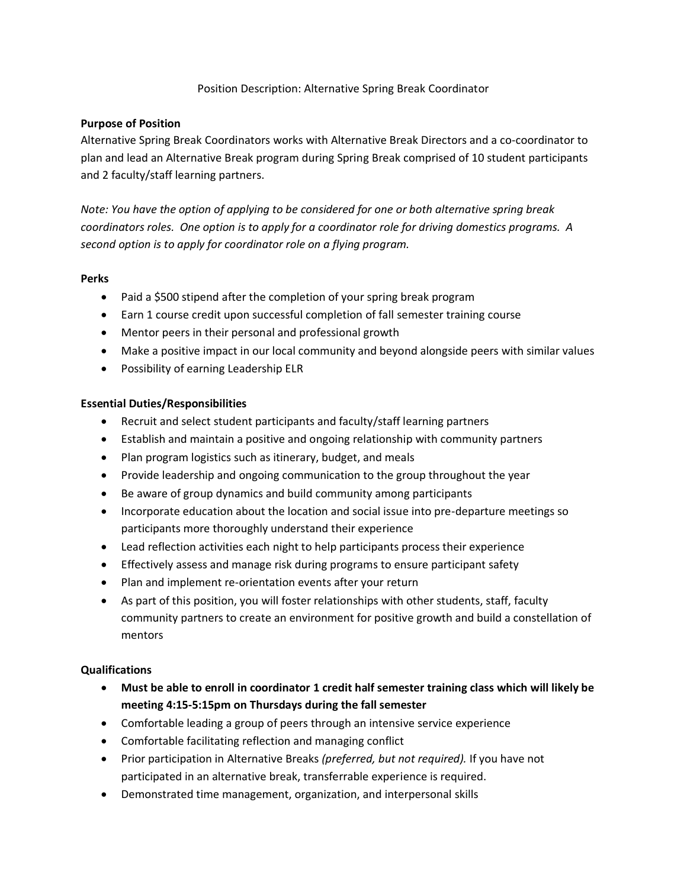### Position Description: Alternative Spring Break Coordinator

## **Purpose of Position**

Alternative Spring Break Coordinators works with Alternative Break Directors and a co-coordinator to plan and lead an Alternative Break program during Spring Break comprised of 10 student participants and 2 faculty/staff learning partners.

*Note: You have the option of applying to be considered for one or both alternative spring break coordinators roles. One option is to apply for a coordinator role for driving domestics programs. A second option is to apply for coordinator role on a flying program.*

## **Perks**

- Paid a \$500 stipend after the completion of your spring break program
- Earn 1 course credit upon successful completion of fall semester training course
- Mentor peers in their personal and professional growth
- Make a positive impact in our local community and beyond alongside peers with similar values
- Possibility of earning Leadership ELR

# **Essential Duties/Responsibilities**

- Recruit and select student participants and faculty/staff learning partners
- Establish and maintain a positive and ongoing relationship with community partners
- Plan program logistics such as itinerary, budget, and meals
- Provide leadership and ongoing communication to the group throughout the year
- Be aware of group dynamics and build community among participants
- Incorporate education about the location and social issue into pre-departure meetings so participants more thoroughly understand their experience
- Lead reflection activities each night to help participants process their experience
- Effectively assess and manage risk during programs to ensure participant safety
- Plan and implement re-orientation events after your return
- As part of this position, you will foster relationships with other students, staff, faculty community partners to create an environment for positive growth and build a constellation of mentors

# **Qualifications**

- **Must be able to enroll in coordinator 1 credit half semester training class which will likely be meeting 4:15-5:15pm on Thursdays during the fall semester**
- Comfortable leading a group of peers through an intensive service experience
- Comfortable facilitating reflection and managing conflict
- Prior participation in Alternative Breaks *(preferred, but not required).* If you have not participated in an alternative break, transferrable experience is required.
- Demonstrated time management, organization, and interpersonal skills